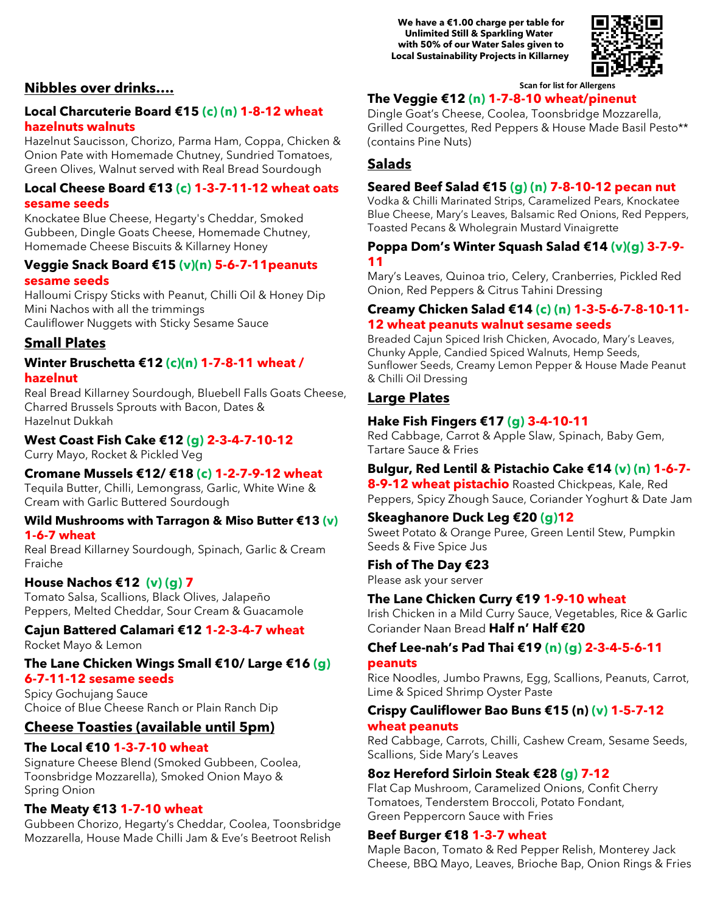**We have a €1.00 charge per table for Unlimited Still & Sparkling Water with 50% of our Water Sales given to Local Sustainability Projects in Killarney**



#### **Scan for list for Allergens**

### **The Veggie €12 (n) 1-7-8-10 wheat/pinenut**

Dingle Goat's Cheese, Coolea, Toonsbridge Mozzarella, Grilled Courgettes, Red Peppers & House Made Basil Pesto\*\* (contains Pine Nuts)

### **Salads**

#### **Seared Beef Salad €15 (g) (n) 7-8-10-12 pecan nut**

Vodka & Chilli Marinated Strips, Caramelized Pears, Knockatee Blue Cheese, Mary's Leaves, Balsamic Red Onions, Red Peppers, Toasted Pecans & Wholegrain Mustard Vinaigrette

### **Poppa Dom's Winter Squash Salad €14 (v)(g) 3-7-9- 11**

Mary's Leaves, Quinoa trio, Celery, Cranberries, Pickled Red Onion, Red Peppers & Citrus Tahini Dressing

#### **Creamy Chicken Salad €14 (c) (n) 1-3-5-6-7-8-10-11- 12 wheat peanuts walnut sesame seeds**

Breaded Cajun Spiced Irish Chicken, Avocado, Mary's Leaves, Chunky Apple, Candied Spiced Walnuts, Hemp Seeds, Sunflower Seeds, Creamy Lemon Pepper & House Made Peanut & Chilli Oil Dressing

### **Large Plates**

#### **Hake Fish Fingers €17 (g) 3-4-10-11**

Red Cabbage, Carrot & Apple Slaw, Spinach, Baby Gem, Tartare Sauce & Fries

### **Bulgur, Red Lentil & Pistachio Cake €14 (v) (n) 1-6-7-**

**8-9-12 wheat pistachio** Roasted Chickpeas, Kale, Red Peppers, Spicy Zhough Sauce, Coriander Yoghurt & Date Jam

**Skeaghanore Duck Leg €20 (g)12** Sweet Potato & Orange Puree, Green Lentil Stew, Pumpkin Seeds & Five Spice Jus

**Fish of The Day €23** Please ask your server

### **The Lane Chicken Curry €19 1-9-10 wheat**

Irish Chicken in a Mild Curry Sauce, Vegetables, Rice & Garlic Coriander Naan Bread **Half n' Half €20**

### **Chef Lee-nah's Pad Thai €19 (n) (g) 2-3-4-5-6-11 peanuts**

Rice Noodles, Jumbo Prawns, Egg, Scallions, Peanuts, Carrot, Lime & Spiced Shrimp Oyster Paste

### **Crispy Cauliflower Bao Buns €15 (n) (v) 1-5-7-12 wheat peanuts**

Red Cabbage, Carrots, Chilli, Cashew Cream, Sesame Seeds, Scallions, Side Mary's Leaves

### **8oz Hereford Sirloin Steak €28 (g) 7-12**

Flat Cap Mushroom, Caramelized Onions, Confit Cherry Tomatoes, Tenderstem Broccoli, Potato Fondant, Green Peppercorn Sauce with Fries

### **Beef Burger €18 1-3-7 wheat**

Maple Bacon, Tomato & Red Pepper Relish, Monterey Jack Cheese, BBQ Mayo, Leaves, Brioche Bap, Onion Rings & Fries

### **Nibbles over drinks….**

### **Local Charcuterie Board €15 (c) (n) 1-8-12 wheat hazelnuts walnuts**

Hazelnut Saucisson, Chorizo, Parma Ham, Coppa, Chicken & Onion Pate with Homemade Chutney, Sundried Tomatoes, Green Olives, Walnut served with Real Bread Sourdough

### **Local Cheese Board €13 (c) 1-3-7-11-12 wheat oats sesame seeds**

Knockatee Blue Cheese, Hegarty's Cheddar, Smoked Gubbeen, Dingle Goats Cheese, Homemade Chutney, Homemade Cheese Biscuits & Killarney Honey

#### **Veggie Snack Board €15 (v)(n) 5-6-7-11peanuts sesame seeds**

Halloumi Crispy Sticks with Peanut, Chilli Oil & Honey Dip Mini Nachos with all the trimmings Cauliflower Nuggets with Sticky Sesame Sauce

### **Small Plates**

### **Winter Bruschetta €12 (c)(n) 1-7-8-11 wheat / hazelnut**

Real Bread Killarney Sourdough, Bluebell Falls Goats Cheese, Charred Brussels Sprouts with Bacon, Dates & Hazelnut Dukkah

### **West Coast Fish Cake €12 (g) 2-3-4-7-10-12**

Curry Mayo, Rocket & Pickled Veg

### **Cromane Mussels €12/ €18 (c) 1-2-7-9-12 wheat**

Tequila Butter, Chilli, Lemongrass, Garlic, White Wine & Cream with Garlic Buttered Sourdough

#### **Wild Mushrooms with Tarragon & Miso Butter €13 (v) 1-6-7 wheat**

Real Bread Killarney Sourdough, Spinach, Garlic & Cream Fraiche

### **House Nachos €12 (v) (g) 7**

Tomato Salsa, Scallions, Black Olives, Jalapeño Peppers, Melted Cheddar, Sour Cream & Guacamole

### **Cajun Battered Calamari €12 1-2-3-4-7 wheat** Rocket Mayo & Lemon

### **The Lane Chicken Wings Small €10/ Large €16 (g) 6-7-11-12 sesame seeds**

Spicy Gochujang Sauce Choice of Blue Cheese Ranch or Plain Ranch Dip

### **Cheese Toasties (available until 5pm)**

### **The Local €10 1-3-7-10 wheat**

Signature Cheese Blend (Smoked Gubbeen, Coolea, Toonsbridge Mozzarella), Smoked Onion Mayo & Spring Onion

### **The Meaty €13 1-7-10 wheat**

Gubbeen Chorizo, Hegarty's Cheddar, Coolea, Toonsbridge Mozzarella, House Made Chilli Jam & Eve's Beetroot Relish